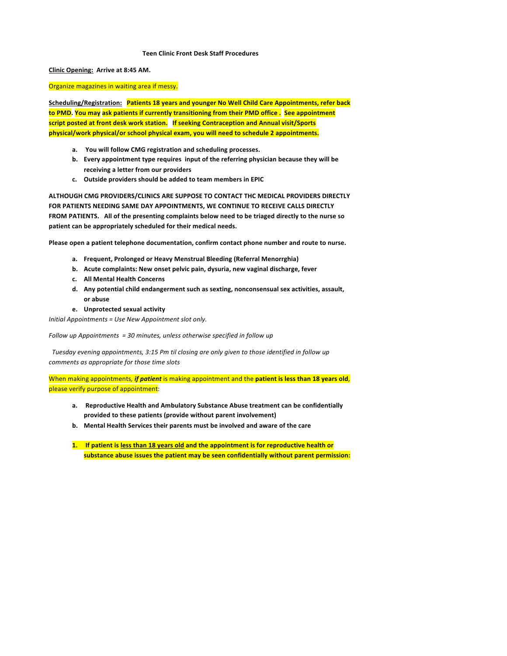### **Teen Clinic Front Desk Staff Procedures**

**Clinic Opening: Arrive at 8:45 AM.** 

Organize magazines in waiting area if messy.

Scheduling/Registration: **Patients 18 years and younger No Well Child Care Appointments, refer back** to PMD. You may ask patients if currently transitioning from their PMD office . See appointment script posted at front desk work station. If seeking Contraception and Annual visit/Sports physical/work physical/or school physical exam, you will need to schedule 2 appointments.

- a. You will follow CMG registration and scheduling processes.
- **b.** Every appointment type requires input of the referring physician because they will be **receiving a letter from our providers**
- c. Outside providers should be added to team members in EPIC

ALTHOUGH CMG PROVIDERS/CLINICS ARE SUPPOSE TO CONTACT THC MEDICAL PROVIDERS DIRECTLY **FOR PATIENTS NEEDING SAME DAY APPOINTMENTS, WE CONTINUE TO RECEIVE CALLS DIRECTLY** FROM PATIENTS. All of the presenting complaints below need to be triaged directly to the nurse so patient can be appropriately scheduled for their medical needs.

Please open a patient telephone documentation, confirm contact phone number and route to nurse.

- **a. Frequent, Prolonged or Heavy Menstrual Bleeding (Referral Menorrghia)**
- **b.** Acute complaints: New onset pelvic pain, dysuria, new vaginal discharge, fever
- **c. All Mental Health Concerns**
- d. Any potential child endangerment such as sexting, nonconsensual sex activities, assault, **or abuse**
- **e. Unprotected sexual activity**

*Initial Appointments* = Use New Appointment slot only.

*Follow up Appointments = 30 minutes, unless otherwise specified in follow up* 

Tuesday evening appointments, 3:15 Pm til closing are only given to those identified in follow up *comments as appropriate for those time slots*

When making appointments, *if patient* is making appointment and the patient is less than 18 years old, please verify purpose of appointment:

- a. Reproductive Health and Ambulatory Substance Abuse treatment can be confidentially provided to these patients (provide without parent involvement)
- **b.** Mental Health Services their parents must be involved and aware of the care
- 1. If patient is less than 18 years old and the appointment is for reproductive health or substance abuse issues the patient may be seen confidentially without parent permission: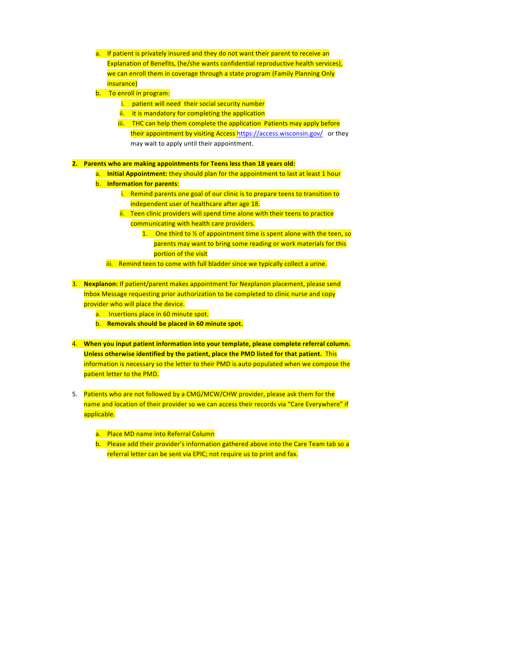- a. If patient is privately insured and they do not want their parent to receive an Explanation of Benefits, (he/she wants confidential reproductive health services), we can enroll them in coverage through a state program (Family Planning Only insurance)
- b. To enroll in program:
	- i. patient will need their social security number
	- $ii.$  it is mandatory for completing the application
	- iii. THC can help them complete the application Patients may apply before their appointment by visiting Access https://access.wisconsin.gov/ or they may wait to apply until their appointment.

**2.** Parents who are making appointments for Teens less than 18 years old:

- a. **Initial Appointment:** they should plan for the appointment to last at least 1 hour
- **b.** Information for parents:
	- i. Remind parents one goal of our clinic is to prepare teens to transition to independent user of healthcare after age 18.
	- ii. Teen clinic providers will spend time alone with their teens to practice communicating with health care providers.
		- 1. One third to  $\frac{1}{2}$  of appointment time is spent alone with the teen, so parents may want to bring some reading or work materials for this portion of the visit
	- iii. Remind teen to come with full bladder since we typically collect a urine.
- 3. **Nexplanon:** If patient/parent makes appointment for Nexplanon placement, please send Inbox Message requesting prior authorization to be completed to clinic nurse and copy provider who will place the device.
	- a. Insertions place in 60 minute spot.
	- **b.** Removals should be placed in 60 minute spot.
- 4. When you input patient information into your template, please complete referral column. Unless otherwise identified by the patient, place the PMD listed for that patient. This information is necessary so the letter to their PMD is auto populated when we compose the patient letter to the PMD.
- 5. Patients who are not followed by a CMG/MCW/CHW provider, please ask them for the name and location of their provider so we can access their records via "Care Everywhere" if applicable.
	- a. Place MD name into Referral Column
	- b. Please add their provider's information gathered above into the Care Team tab so a referral letter can be sent via EPIC; not require us to print and fax.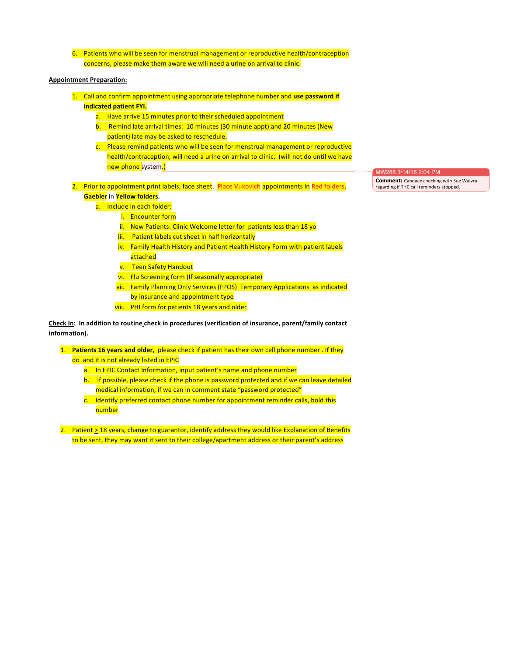6. Patients who will be seen for menstrual management or reproductive health/contraception concerns, please make them aware we will need a urine on arrival to clinic.

### **Appointment Preparation:**

- 1. Call and confirm appointment using appropriate telephone number and use password if **indicated patient FYI.** 
	- a. Have arrive 15 minutes prior to their scheduled appointment
	- b. Remind late arrival times: 10 minutes (30 minute appt) and 20 minutes (New patient) late may be asked to reschedule.
	- c. Please remind patients who will be seen for menstrual management or reproductive health/contraception, will need a urine on arrival to clinic. (will not do until we have new phone system.)
- 2. Prior to appointment print labels, face sheet. Place Vukovich appointments in Red folders, **Gaebler** in **Yellow folders**.
	- a. Include in each folder:
		- i. Encounter form
			- ii. New Patients: Clinic Welcome letter for patients less than 18 yo
		- iii. Patient labels cut sheet in half horizontally
		- iv. Family Health History and Patient Health History Form with patient labels attached
		- v. Teen Safety Handout
		- vi. Flu Screening form (If seasonally appropriate)
		- vii. Family Planning Only Services (FPOS) Temporary Applications as indicated by insurance and appointment type
		- viii. PHI form for patients 18 years and older

**Check In:** In addition to routine check in procedures (verification of insurance, parent/family contact information).

1. **Patients 16 years and older,** please check if patient has their own cell phone number . If they do and it is not already listed in EPIC

- a. In EPIC Contact Information, input patient's name and phone number
- b. If possible, please check if the phone is password protected and if we can leave detailed medical information, if we can in comment state "password protected"
- c. Identify preferred contact phone number for appointment reminder calls, bold this number

2. Patient > 18 years, change to guarantor, identify address they would like Explanation of Benefits to be sent, they may want it sent to their college/apartment address or their parent's address

MW288 3/14/16 2:04 PM

**Comment:** Candace checking with Sue Waivra regarding if THC call reminders stopped.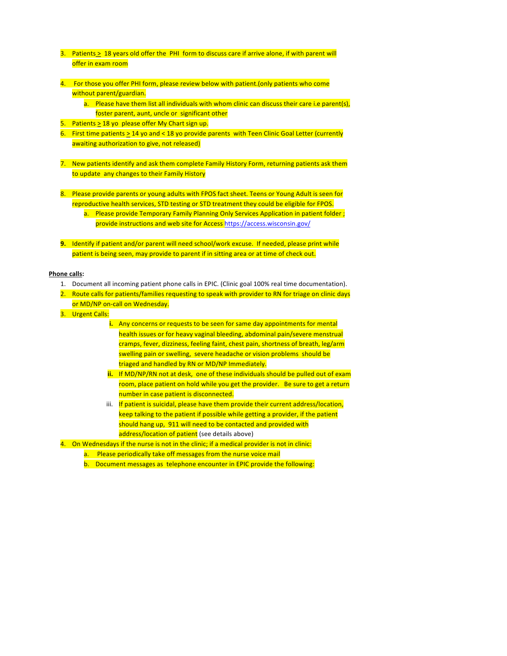- 3. Patients  $\geq 18$  years old offer the PHI form to discuss care if arrive alone, if with parent will offer in exam room
- 4. For those you offer PHI form, please review below with patient.(only patients who come without parent/guardian.
	- a. Please have them list all individuals with whom clinic can discuss their care i.e parent(s), foster parent, aunt, uncle or significant other
- 5. Patients  $\geq 18$  yo please offer My Chart sign up.
- 6. First time patients  $> 14$  yo and < 18 yo provide parents with Teen Clinic Goal Letter (currently awaiting authorization to give, not released)
- 7. New patients identify and ask them complete Family History Form, returning patients ask them to update any changes to their Family History
- 8. Please provide parents or young adults with FPOS fact sheet. Teens or Young Adult is seen for reproductive health services, STD testing or STD treatment they could be eligible for FPOS.
	- a. Please provide Temporary Family Planning Only Services Application in patient folder; provide instructions and web site for Access https://access.wisconsin.gov/
- **9.** Identify if patient and/or parent will need school/work excuse. If needed, please print while patient is being seen, may provide to parent if in sitting area or at time of check out.

# **Phone calls:**

- 1. Document all incoming patient phone calls in EPIC. (Clinic goal 100% real time documentation).
- 2. Route calls for patients/families requesting to speak with provider to RN for triage on clinic days or MD/NP on-call on Wednesday.
- 3. Urgent Calls:
	- **i.** Any concerns or requests to be seen for same day appointments for mental health issues or for heavy vaginal bleeding, abdominal pain/severe menstrual  $c$ ramps, fever, dizziness, feeling faint, chest pain, shortness of breath, leg/arm swelling pain or swelling, severe headache or vision problems should be triaged and handled by RN or MD/NP Immediately.
	- **ii.** If MD/NP/RN not at desk, one of these individuals should be pulled out of exam room, place patient on hold while you get the provider. Be sure to get a return number in case patient is disconnected.
	- iii. If patient is suicidal, please have them provide their current address/location, keep talking to the patient if possible while getting a provider, if the patient should hang up, 911 will need to be contacted and provided with address/location of patient (see details above)
- 4. On Wednesdays if the nurse is not in the clinic; if a medical provider is not in clinic:
	- a. Please periodically take off messages from the nurse voice mail
	- b. Document messages as telephone encounter in EPIC provide the following: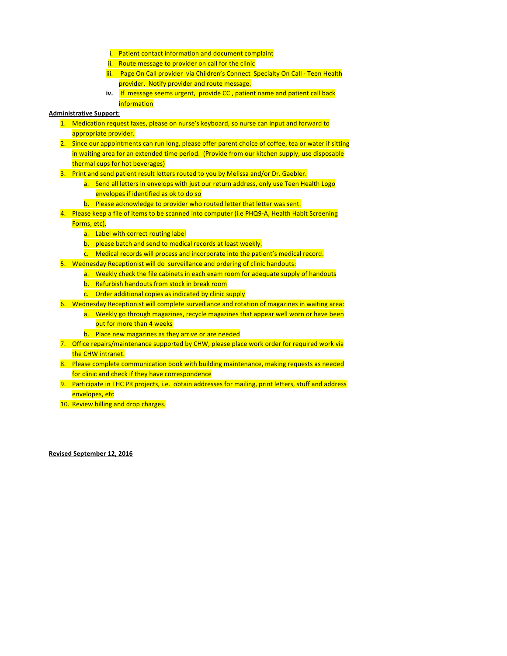- i. Patient contact information and document complaint
- ii. Route message to provider on call for the clinic
- iii. Page On Call provider via Children's Connect Specialty On Call Teen Health provider. Notify provider and route message.
- **iv.** If message seems urgent, provide CC, patient name and patient call back information

### **Administrative Support:**

- 1. Medication request faxes, please on nurse's keyboard, so nurse can input and forward to appropriate provider.
- 2. Since our appointments can run long, please offer parent choice of coffee, tea or water if sitting in waiting area for an extended time period. (Provide from our kitchen supply, use disposable thermal cups for hot beverages)
- 3. Print and send patient result letters routed to you by Melissa and/or Dr. Gaebler.
	- a. Send all letters in envelops with just our return address, only use Teen Health Logo envelopes if identified as ok to do so
	- b. Please acknowledge to provider who routed letter that letter was sent.
- 4. Please keep a file of items to be scanned into computer (i.e PHQ9-A, Health Habit Screening
	- Forms, etc),
		- a. Label with correct routing label
		- b. please batch and send to medical records at least weekly.
		- $c.$  Medical records will process and incorporate into the patient's medical record.
- 5. Wednesday Receptionist will do surveillance and ordering of clinic handouts:
	- a. Weekly check the file cabinets in each exam room for adequate supply of handouts
	- b. Refurbish handouts from stock in break room
	- c. Order additional copies as indicated by clinic supply
- 6. Wednesday Receptionist will complete surveillance and rotation of magazines in waiting area:
	- a. Weekly go through magazines, recycle magazines that appear well worn or have been out for more than 4 weeks
	- b. Place new magazines as they arrive or are needed
- 7. Office repairs/maintenance supported by CHW, please place work order for required work via the CHW intranet.
- 8. Please complete communication book with building maintenance, making requests as needed for clinic and check if they have correspondence
- 9. Participate in THC PR projects, i.e. obtain addresses for mailing, print letters, stuff and address envelopes, etc
- 10. Review billing and drop charges.

#### **Revised September 12, 2016**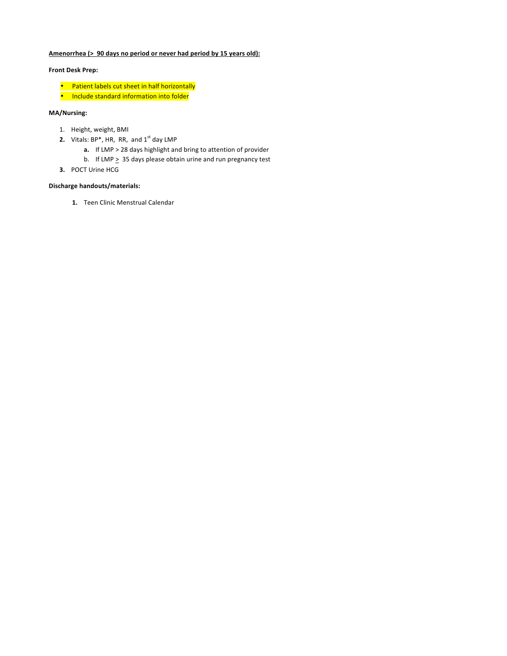# Amenorrhea (> 90 days no period or never had period by 15 years old):

# **Front Desk Prep:**

- Patient labels cut sheet in half horizontally
- Include standard information into folder

# **MA/Nursing:**

- 1. Height, weight, BMI
- **2.** Vitals: BP<sup>\*</sup>, HR, RR, and 1<sup>st</sup> day LMP
	- **a.** If LMP > 28 days highlight and bring to attention of provider
	- b. If LMP  $\geq 35$  days please obtain urine and run pregnancy test
- **3.** POCT Urine HCG

# **Discharge handouts/materials:**

1. Teen Clinic Menstrual Calendar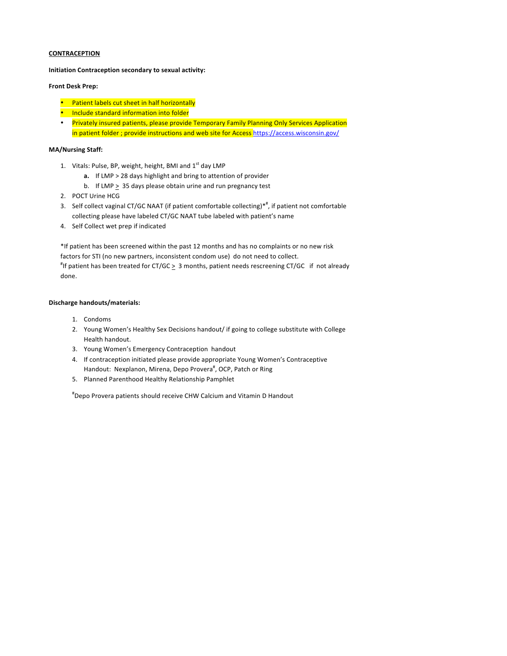**Initiation Contraception secondary to sexual activity:** 

### **Front Desk Prep:**

- Patient labels cut sheet in half horizontally
- **Include standard information into folder**
- Privately insured patients, please provide Temporary Family Planning Only Services Application in patient folder ; provide instructions and web site for Access https://access.wisconsin.gov/

# **MA/Nursing Staff:**

- 1. Vitals: Pulse, BP, weight, height, BMI and  $1<sup>st</sup>$  day LMP
	- **a.** If LMP > 28 days highlight and bring to attention of provider
	- b. If LMP  $\geq$  35 days please obtain urine and run pregnancy test
- 2. POCT Urine HCG
- 3. Self collect vaginal CT/GC NAAT (if patient comfortable collecting)\*<sup>#</sup>, if patient not comfortable collecting please have labeled CT/GC NAAT tube labeled with patient's name
- 4. Self Collect wet prep if indicated

\*If patient has been screened within the past 12 months and has no complaints or no new risk factors for STI (no new partners, inconsistent condom use) do not need to collect. "If patient has been treated for CT/GC  $\geq 3$  months, patient needs rescreening CT/GC if not already done.

### **Discharge handouts/materials:**

- 1. Condoms
- 2. Young Women's Healthy Sex Decisions handout/ if going to college substitute with College Health handout.
- 3. Young Women's Emergency Contraception handout
- 4. If contraception initiated please provide appropriate Young Women's Contraceptive Handout: Nexplanon, Mirena, Depo Provera<sup>#</sup>, OCP, Patch or Ring
- 5. Planned Parenthood Healthy Relationship Pamphlet

# Depo Provera patients should receive CHW Calcium and Vitamin D Handout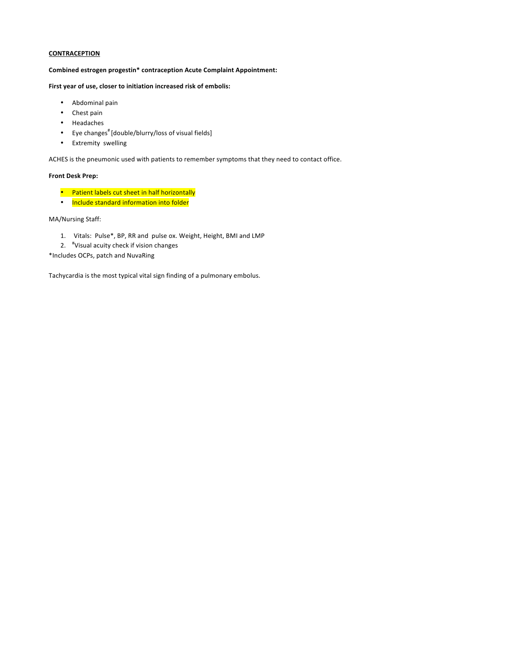Combined estrogen progestin\* contraception Acute Complaint Appointment:

First year of use, closer to initiation increased risk of embolis:

- Abdominal pain
- Chest pain
- Headaches
- Eye changes<sup>#</sup> [double/blurry/loss of visual fields]
- Extremity swelling

ACHES is the pneumonic used with patients to remember symptoms that they need to contact office.

### **Front Desk Prep:**

- Patient labels cut sheet in half horizontally
- Include standard information into folder

MA/Nursing Staff:

- 1. Vitals: Pulse\*, BP, RR and pulse ox. Weight, Height, BMI and LMP
- 2. <sup>#</sup>Visual acuity check if vision changes
- \*Includes OCPs, patch and NuvaRing

Tachycardia is the most typical vital sign finding of a pulmonary embolus.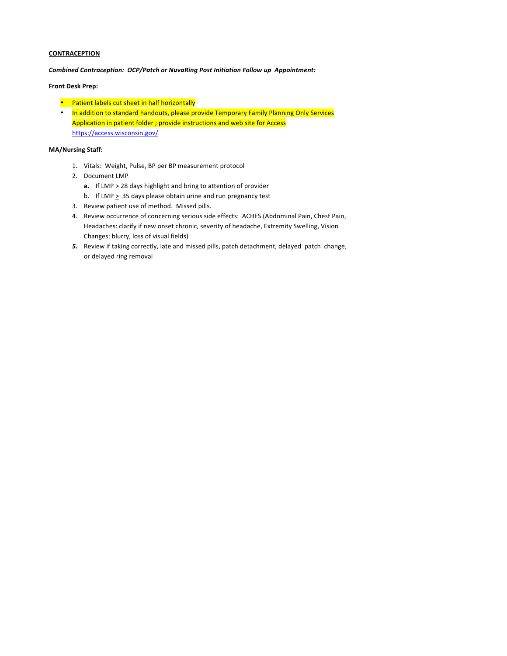*Combined Contraception: OCP/Patch or NuvaRing Post Initiation Follow up Appointment:* 

# **Front Desk Prep:**

- Patient labels cut sheet in half horizontally
- In addition to standard handouts, please provide Temporary Family Planning Only Services Application in patient folder ; provide instructions and web site for Access https://access.wisconsin.gov/

# **MA/Nursing Staff:**

- 1. Vitals: Weight, Pulse, BP per BP measurement protocol
- 2. Document LMP
	- **a.** If LMP > 28 days highlight and bring to attention of provider
	- b. If LMP  $\geq 35$  days please obtain urine and run pregnancy test
- 3. Review patient use of method. Missed pills.
- 4. Review occurrence of concerning serious side effects: ACHES (Abdominal Pain, Chest Pain, Headaches: clarify if new onset chronic, severity of headache, Extremity Swelling, Vision Changes: blurry, loss of visual fields)
- 5. Review if taking correctly, late and missed pills, patch detachment, delayed patch change, or delayed ring removal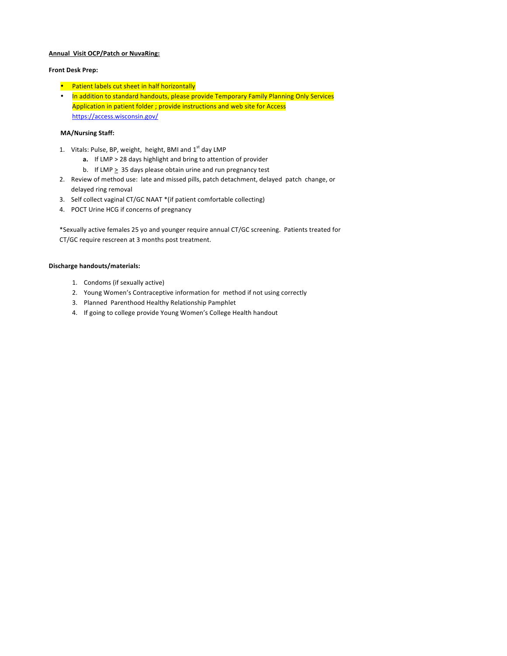### **Annual Visit OCP/Patch or NuvaRing:**

#### **Front Desk Prep:**

- Patient labels cut sheet in half horizontally
- In addition to standard handouts, please provide Temporary Family Planning Only Services Application in patient folder ; provide instructions and web site for Access https://access.wisconsin.gov/

# **MA/Nursing Staff:**

- 1. Vitals: Pulse, BP, weight, height, BMI and  $1<sup>st</sup>$  day LMP
	- **a.** If LMP > 28 days highlight and bring to attention of provider
	- b. If LMP  $\geq$  35 days please obtain urine and run pregnancy test
- 2. Review of method use: late and missed pills, patch detachment, delayed patch change, or delayed ring removal
- 3. Self collect vaginal CT/GC NAAT \*(if patient comfortable collecting)
- 4. POCT Urine HCG if concerns of pregnancy

\*Sexually active females 25 yo and younger require annual CT/GC screening. Patients treated for CT/GC require rescreen at 3 months post treatment.

- 1. Condoms (if sexually active)
- 2. Young Women's Contraceptive information for method if not using correctly
- 3. Planned Parenthood Healthy Relationship Pamphlet
- 4. If going to college provide Young Women's College Health handout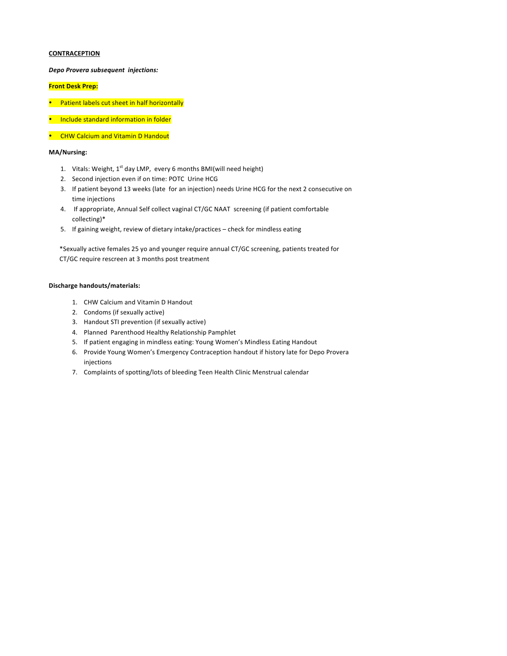*Depo Provera subsequent injections:*

### **Front Desk Prep:**

- Patient labels cut sheet in half horizontally
- Include standard information in folder
- CHW Calcium and Vitamin D Handout

#### **MA/Nursing:**

- 1. Vitals: Weight, 1<sup>st</sup> day LMP, every 6 months BMI(will need height)
- 2. Second injection even if on time: POTC Urine HCG
- 3. If patient beyond 13 weeks (late for an injection) needs Urine HCG for the next 2 consecutive on time injections
- 4. If appropriate, Annual Self collect vaginal CT/GC NAAT screening (if patient comfortable collecting)\*
- 5. If gaining weight, review of dietary intake/practices check for mindless eating

\*Sexually active females 25 yo and younger require annual CT/GC screening, patients treated for CT/GC require rescreen at 3 months post treatment

- 1. CHW Calcium and Vitamin D Handout
- 2. Condoms (if sexually active)
- 3. Handout STI prevention (if sexually active)
- 4. Planned Parenthood Healthy Relationship Pamphlet
- 5. If patient engaging in mindless eating: Young Women's Mindless Eating Handout
- 6. Provide Young Women's Emergency Contraception handout if history late for Depo Provera injections
- 7. Complaints of spotting/lots of bleeding Teen Health Clinic Menstrual calendar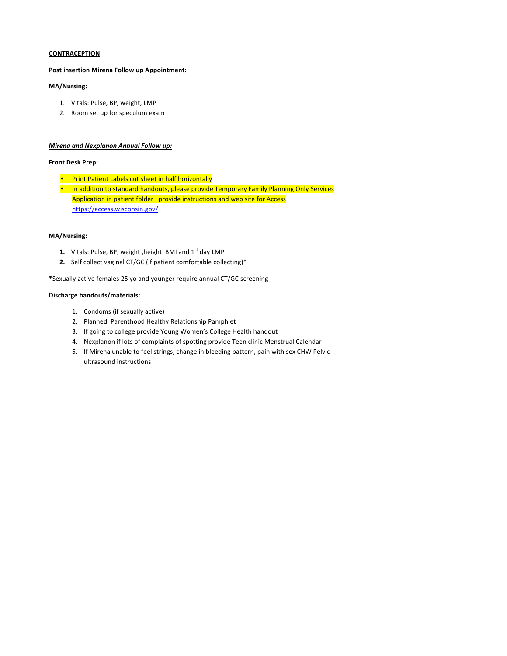#### **Post insertion Mirena Follow up Appointment:**

### **MA/Nursing:**

- 1. Vitals: Pulse, BP, weight, LMP
- 2. Room set up for speculum exam

#### **Mirena and Nexplanon Annual Follow up:**

#### **Front Desk Prep:**

- Print Patient Labels cut sheet in half horizontally
- In addition to standard handouts, please provide Temporary Family Planning Only Services Application in patient folder ; provide instructions and web site for Access https://access.wisconsin.gov/

#### **MA/Nursing:**

- 1. Vitals: Pulse, BP, weight, height BMI and 1<sup>st</sup> day LMP
- **2.** Self collect vaginal CT/GC (if patient comfortable collecting)\*

\*Sexually active females 25 yo and younger require annual CT/GC screening

- 1. Condoms (if sexually active)
- 2. Planned Parenthood Healthy Relationship Pamphlet
- 3. If going to college provide Young Women's College Health handout
- 4. Nexplanon if lots of complaints of spotting provide Teen clinic Menstrual Calendar
- 5. If Mirena unable to feel strings, change in bleeding pattern, pain with sex CHW Pelvic ultrasound instructions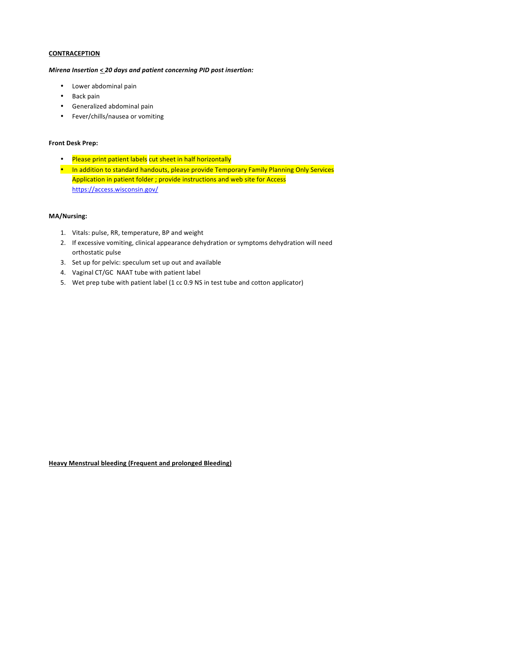#### *Mirena Insertion*  $\leq$  20 days and patient concerning PID post insertion:

- Lower abdominal pain
- Back pain
- Generalized abdominal pain
- Fever/chills/nausea or vomiting

### **Front Desk Prep:**

- Please print patient labels cut sheet in half horizontally
- In addition to standard handouts, please provide Temporary Family Planning Only Services Application in patient folder ; provide instructions and web site for Access https://access.wisconsin.gov/

### **MA/Nursing:**

- 1. Vitals: pulse, RR, temperature, BP and weight
- 2. If excessive vomiting, clinical appearance dehydration or symptoms dehydration will need orthostatic pulse
- 3. Set up for pelvic: speculum set up out and available
- 4. Vaginal CT/GC NAAT tube with patient label
- 5. Wet prep tube with patient label (1 cc 0.9 NS in test tube and cotton applicator)

# **Heavy Menstrual bleeding (Frequent and prolonged Bleeding)**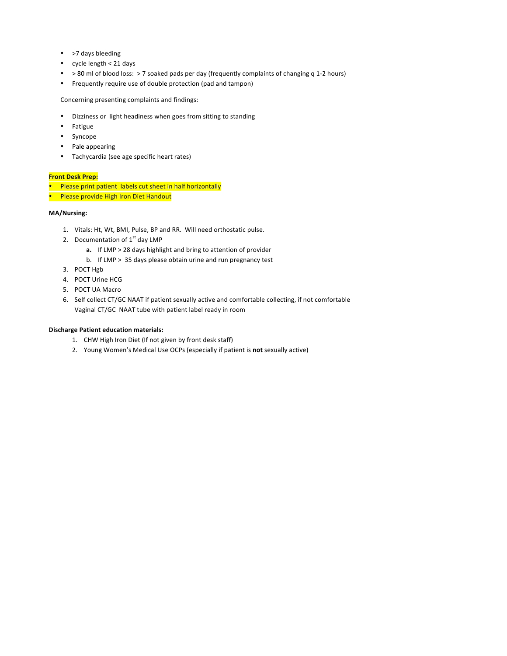- >7 days bleeding
- cycle length  $< 21$  days
- > 80 ml of blood loss: > 7 soaked pads per day (frequently complaints of changing q 1-2 hours)
- Frequently require use of double protection (pad and tampon)

Concerning presenting complaints and findings:

- Dizziness or light headiness when goes from sitting to standing
- Fatigue
- Syncope
- Pale appearing
- Tachycardia (see age specific heart rates)

### **Front Desk Prep:**

- Please print patient labels cut sheet in half horizontally
- Please provide High Iron Diet Handout

# **MA/Nursing:**

- 1. Vitals: Ht, Wt, BMI, Pulse, BP and RR. Will need orthostatic pulse.
- 2. Documentation of  $1<sup>st</sup>$  day LMP
	- **a.** If LMP > 28 days highlight and bring to attention of provider
	- b. If LMP  $\geq 35$  days please obtain urine and run pregnancy test
- 3. POCT Hgb
- 4. POCT Urine HCG
- 5. POCT UA Macro
- 6. Self collect CT/GC NAAT if patient sexually active and comfortable collecting, if not comfortable Vaginal CT/GC NAAT tube with patient label ready in room

#### **Discharge Patient education materials:**

- 1. CHW High Iron Diet (If not given by front desk staff)
- 2. Young Women's Medical Use OCPs (especially if patient is not sexually active)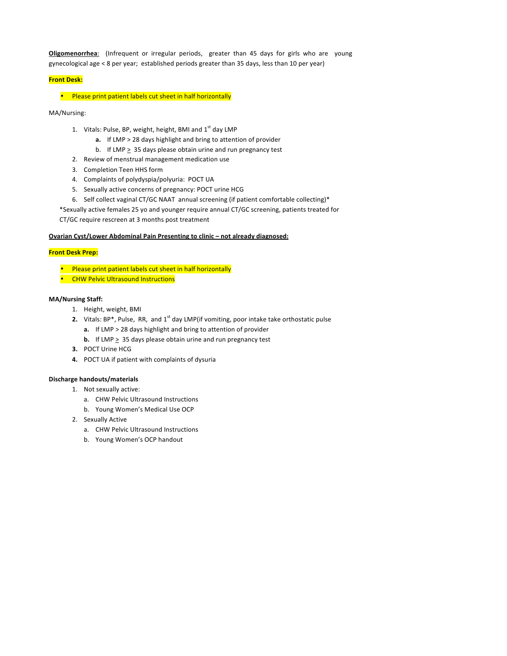**Oligomenorrhea**: (Infrequent or irregular periods, greater than 45 days for girls who are young gynecological age < 8 per year; established periods greater than 35 days, less than 10 per year)

# **Front Desk:**

• Please print patient labels cut sheet in half horizontally

MA/Nursing:

- 1. Vitals: Pulse, BP, weight, height, BMI and  $1<sup>st</sup>$  day LMP
	- **a.** If LMP > 28 days highlight and bring to attention of provider
	- b. If LMP  $\geq$  35 days please obtain urine and run pregnancy test
- 2. Review of menstrual management medication use
- 3. Completion Teen HHS form
- 4. Complaints of polydyspia/polyuria: POCT UA
- 5. Sexually active concerns of pregnancy: POCT urine HCG
- 6. Self collect vaginal CT/GC NAAT annual screening (if patient comfortable collecting)\*

\*Sexually active females 25 yo and younger require annual CT/GC screening, patients treated for 

CT/GC require rescreen at 3 months post treatment

# **Ovarian Cyst/Lower Abdominal Pain Presenting to clinic - not already diagnosed:**

### **Front Desk Prep:**

Please print patient labels cut sheet in half horizontally

**CHW Pelvic Ultrasound Instructions** 

#### **MA/Nursing Staff:**

- 1. Height, weight, BMI
- **2.** Vitals: BP\*, Pulse, RR, and 1<sup>st</sup> day LMP(if vomiting, poor intake take orthostatic pulse
	- **a.** If LMP > 28 days highlight and bring to attention of provider
	- **b.** If LMP  $\geq$  35 days please obtain urine and run pregnancy test
- **3.** POCT Urine HCG
- **4.** POCT UA if patient with complaints of dysuria

- 1. Not sexually active:
	- a. CHW Pelvic Ultrasound Instructions
	- b. Young Women's Medical Use OCP
- 2. Sexually Active
	- a. CHW Pelvic Ultrasound Instructions
	- b. Young Women's OCP handout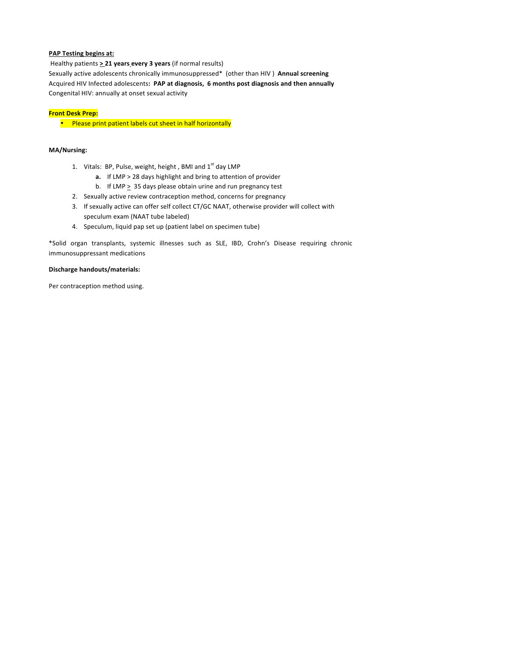### **PAP Testing begins at:**

Healthy patients  $\geq$  21 years every 3 years (if normal results) Sexually active adolescents chronically immunosuppressed\* (other than HIV) Annual screening Acquired HIV Infected adolescents: PAP at diagnosis, 6 months post diagnosis and then annually Congenital HIV: annually at onset sexual activity

### **Front Desk Prep:**

• Please print patient labels cut sheet in half horizontally

# **MA/Nursing:**

- 1. Vitals: BP, Pulse, weight, height, BMI and  $1<sup>st</sup>$  day LMP
	- **a.** If LMP > 28 days highlight and bring to attention of provider
	- b. If LMP  $\geq$  35 days please obtain urine and run pregnancy test
- 2. Sexually active review contraception method, concerns for pregnancy
- 3. If sexually active can offer self collect CT/GC NAAT, otherwise provider will collect with speculum exam (NAAT tube labeled)
- 4. Speculum, liquid pap set up (patient label on specimen tube)

\*Solid organ transplants, systemic illnesses such as SLE, IBD, Crohn's Disease requiring chronic immunosuppressant medications

### **Discharge handouts/materials:**

Per contraception method using.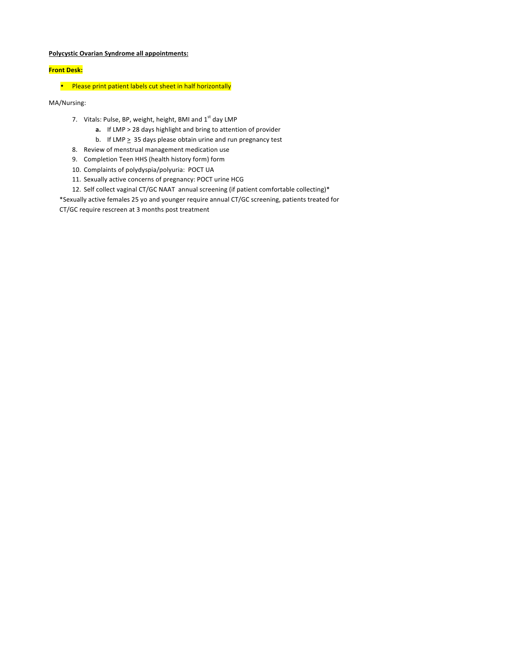# **Polycystic Ovarian Syndrome all appointments:**

# **Front Desk:**

• Please print patient labels cut sheet in half horizontally

MA/Nursing:

- 7. Vitals: Pulse, BP, weight, height, BMI and 1<sup>st</sup> day LMP
	- **a.** If LMP > 28 days highlight and bring to attention of provider
	- b. If LMP  $\geq$  35 days please obtain urine and run pregnancy test
- 8. Review of menstrual management medication use
- 9. Completion Teen HHS (health history form) form
- 10. Complaints of polydyspia/polyuria: POCT UA
- 11. Sexually active concerns of pregnancy: POCT urine HCG
- 12. Self collect vaginal CT/GC NAAT annual screening (if patient comfortable collecting)\*

\*Sexually active females 25 yo and younger require annual CT/GC screening, patients treated for CT/GC require rescreen at 3 months post treatment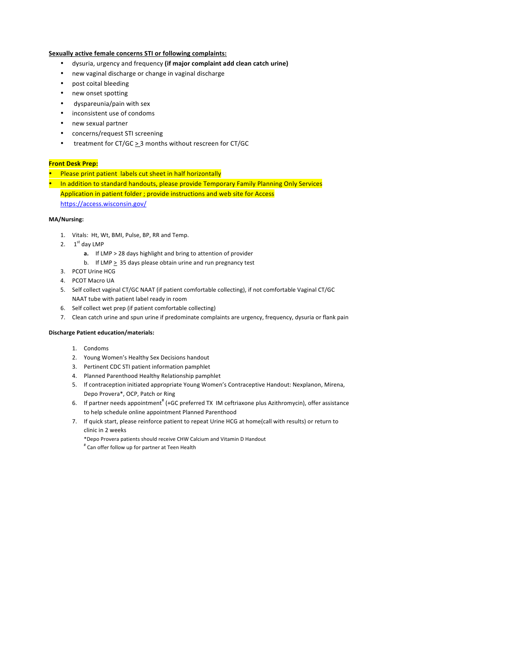### **Sexually active female concerns STI or following complaints:**

- dysuria, urgency and frequency (if major complaint add clean catch urine)
- new vaginal discharge or change in vaginal discharge
- post coital bleeding
- new onset spotting
- dyspareunia/pain with sex
- inconsistent use of condoms
- new sexual partner
- concerns/request STI screening
- treatment for  $CT/GC \geq 3$  months without rescreen for  $CT/GC$

### **Front Desk Prep:**

- Please print patient labels cut sheet in half horizontally
- In addition to standard handouts, please provide Temporary Family Planning Only Services

Application in patient folder ; provide instructions and web site for Access https://access.wisconsin.gov/

# **MA/Nursing:**

- 1. Vitals: Ht, Wt, BMI, Pulse, BP, RR and Temp.
- 2.  $1<sup>st</sup>$  day LMP
	- **a.** If LMP > 28 days highlight and bring to attention of provider
	- b. If LMP  $\geq 35$  days please obtain urine and run pregnancy test
- 3. PCOT Urine HCG
- 4. PCOT Macro UA
- 5. Self collect vaginal CT/GC NAAT (if patient comfortable collecting), if not comfortable Vaginal CT/GC NAAT tube with patient label ready in room
- 6. Self collect wet prep (if patient comfortable collecting)
- 7. Clean catch urine and spun urine if predominate complaints are urgency, frequency, dysuria or flank pain

#### **Discharge Patient education/materials:**

- 1. Condoms
- 2. Young Women's Healthy Sex Decisions handout
- 3. Pertinent CDC STI patient information pamphlet
- 4. Planned Parenthood Healthy Relationship pamphlet
- 5. If contraception initiated appropriate Young Women's Contraceptive Handout: Nexplanon, Mirena, Depo Provera\*, OCP, Patch or Ring
- 6. If partner needs appointment<sup>#</sup> (+GC preferred TX IM ceftriaxone plus Azithromycin), offer assistance to help schedule online appointment Planned Parenthood
- 7. If quick start, please reinforce patient to repeat Urine HCG at home(call with results) or return to clinic in 2 weeks
	- \*Depo Provera patients should receive CHW Calcium and Vitamin D Handout
	- # Can offer follow up for partner at Teen Health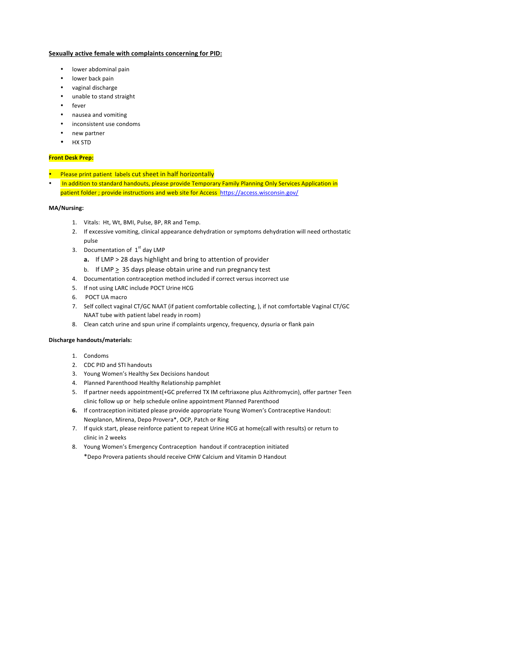### **Sexually active female with complaints concerning for PID:**

- lower abdominal pain
- lower back pain
- vaginal discharge
- unable to stand straight
- fever
- nausea and vomiting
- inconsistent use condoms
- new partner
- HX STD

#### **Front Desk Prep:**

- Please print patient labels cut sheet in half horizontally
- In addition to standard handouts, please provide Temporary Family Planning Only Services Application in patient folder ; provide instructions and web site for Access https://access.wisconsin.gov/

#### **MA/Nursing:**

- 1. Vitals: Ht, Wt, BMI, Pulse, BP, RR and Temp.
- 2. If excessive vomiting, clinical appearance dehydration or symptoms dehydration will need orthostatic pulse
- 3. Documentation of  $1<sup>st</sup>$  day LMP
	- **a.** If LMP > 28 days highlight and bring to attention of provider
	- b. If LMP  $\geq$  35 days please obtain urine and run pregnancy test
- 4. Documentation contraception method included if correct versus incorrect use
- 5. If not using LARC include POCT Urine HCG
- 6. POCT UA macro
- 7. Self collect vaginal CT/GC NAAT (if patient comfortable collecting, ), if not comfortable Vaginal CT/GC NAAT tube with patient label ready in room)
- 8. Clean catch urine and spun urine if complaints urgency, frequency, dysuria or flank pain

- 1. Condoms
- 2. CDC PID and STI handouts
- 3. Young Women's Healthy Sex Decisions handout
- 4. Planned Parenthood Healthy Relationship pamphlet
- 5. If partner needs appointment(+GC preferred TX IM ceftriaxone plus Azithromycin), offer partner Teen clinic follow up or help schedule online appointment Planned Parenthood
- **6.** If contraception initiated please provide appropriate Young Women's Contraceptive Handout: Nexplanon, Mirena, Depo Provera\*, OCP, Patch or Ring
- 7. If quick start, please reinforce patient to repeat Urine HCG at home(call with results) or return to clinic in 2 weeks
- 8. Young Women's Emergency Contraception handout if contraception initiated \*Depo Provera patients should receive CHW Calcium and Vitamin D Handout